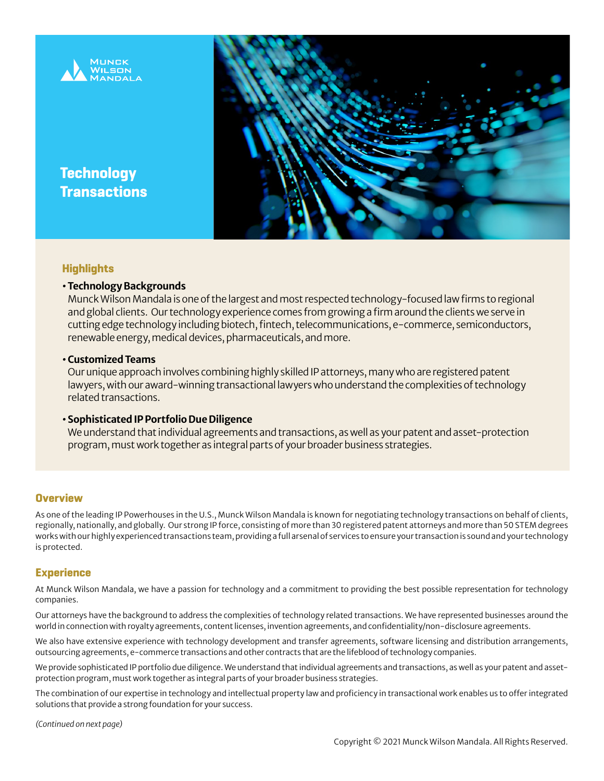

**Technology Transactions**



## **Highlights**

## • Technology Backgrounds

Munck Wilson Mandala is one of the largest and most respected technology-focused law firms to regional and global clients. Our technology experience comes from growing a firm around the clients we serve in cutting edge technology including biotech, fintech, telecommunications, e-commerce, semiconductors, renewable energy, medical devices, pharmaceuticals, and more.

### • Customized Teams

Our unique approach involves combining highly skilled IP attorneys, many who are registered patent lawyers, with our award-winning transactional lawyers who understand the complexities of technology related transactions.

## • Sophisticated IP Portfolio Due Diligence

We understand that individual agreements and transactions, as well as your patent and asset-protection program, must work together as integral parts of your broader business strategies.

## **Overview**

As one of the leading IP Powerhouses in the U.S., Munck Wilson Mandala is known for negotiating technology transactions on behalf of clients, regionally, nationally, and globally. Our strong IP force, consisting of more than 30 registered patent attorneys and more than 50 STEM degrees works with our highly experienced transactions team, providing a full arsenal of services to ensure your transaction is sound and your technology is protected.

## **Experience**

At Munck Wilson Mandala, we have a passion for technology and a commitment to providing the best possible representation for technology companies.

Our attorneys have the background to address the complexities of technology related transactions. We have represented businesses around the world in connection with royalty agreements, content licenses, invention agreements, and confidentiality/non-disclosure agreements.

We also have extensive experience with technology development and transfer agreements, software licensing and distribution arrangements, outsourcing agreements, e-commerce transactions and other contracts that are the lifeblood of technology companies.

We provide sophisticated IP portfolio due diligence. We understand that individual agreements and transactions, as well as your patent and assetprotection program, must work together as integral parts of your broader business strategies.

The combination of our expertise in technology and intellectual property law and proficiency in transactional work enables us to offer integrated solutions that provide a strong foundation for your success.

*(Continued on next page)*